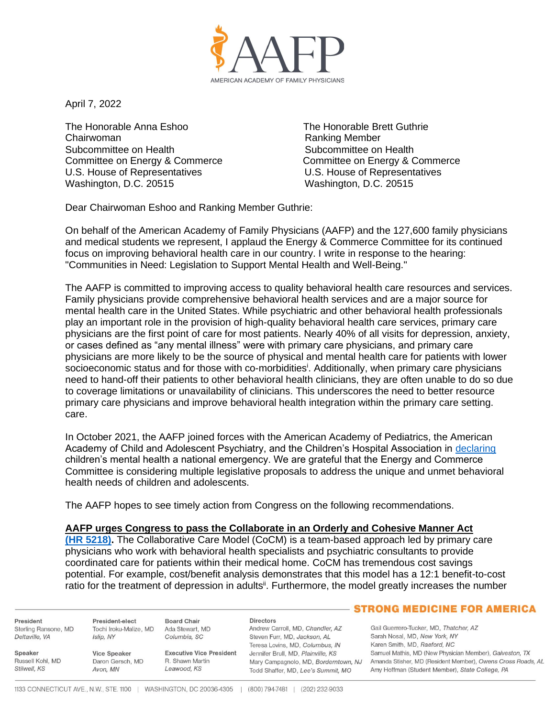

April 7, 2022

The Honorable Anna Eshoo The Honorable Brett Guthrie Chairwoman Ranking Member Subcommittee on Health Subcommittee on Health U.S. House of Representatives U.S. House of Representatives Washington, D.C. 20515 Washington, D.C. 20515

Committee on Energy & Commerce Committee on Energy & Commerce

Dear Chairwoman Eshoo and Ranking Member Guthrie:

On behalf of the American Academy of Family Physicians (AAFP) and the 127,600 family physicians and medical students we represent, I applaud the Energy & Commerce Committee for its continued focus on improving behavioral health care in our country. I write in response to the hearing: "Communities in Need: Legislation to Support Mental Health and Well-Being."

The AAFP is committed to improving access to quality behavioral health care resources and services. Family physicians provide comprehensive behavioral health services and are a major source for mental health care in the United States. While psychiatric and other behavioral health professionals play an important role in the provision of high-quality behavioral health care services, primary care physicians are the first point of care for most patients. Nearly 40% of all visits for depression, anxiety, or cases defined as "any mental illness" were with primary care physicians, and primary care physicians are more likely to be the source of physical and mental health care for patients with lower socioeconomic status and for those with co-morbidities<sup>i</sup>. Additionally, when primary care physicians need to hand-off their patients to other behavioral health clinicians, they are often unable to do so due to coverage limitations or unavailability of clinicians. This underscores the need to better resource primary care physicians and improve behavioral health integration within the primary care setting. care.

In October 2021, the AAFP joined forces with the American Academy of Pediatrics, the American Academy of Child and Adolescent Psychiatry, and the Children's Hospital Association in [declaring](https://www.aafp.org/news/media-center/statements/family-physicians-mental-health-care-children-families.html) children's mental health a national emergency. We are grateful that the Energy and Commerce Committee is considering multiple legislative proposals to address the unique and unmet behavioral health needs of children and adolescents.

The AAFP hopes to see timely action from Congress on the following recommendations.

### **AAFP urges Congress to pass the Collaborate in an Orderly and Cohesive Manner Act**

**[\(HR 5218\).](https://www.aafp.org/dam/AAFP/documents/advocacy/delivery/medhome/LT-Congress-CoCMAct-091021.pdf)** The Collaborative Care Model (CoCM) is a team-based approach led by primary care physicians who work with behavioral health specialists and psychiatric consultants to provide coordinated care for patients within their medical home. CoCM has tremendous cost savings potential. For example, cost/benefit analysis demonstrates that this model has a 12:1 benefit-to-cost ratio for the treatment of depression in adults<sup>ii</sup>. Furthermore, the model greatly increases the number

President Sterling Ransone, MD Deltaville, VA

Speaker

Stilwell, KS

Islin, NY **Vice Speaker** Russell Kohl MD Daron Gersch, MD

Avon, MN

President-elect **Board Chair** Tochi Iroku-Malize, MD Ada Stewart, MD Columbia, SC

> **Executive Vice President** R Shawn Martin Leawood, KS

**Directors** Andrew Carroll, MD, Chandler, AZ Steven Furr, MD. Jackson, AL Teresa Lovins, MD, Columbus, IN Jennifer Brull, MD, Plainville, KS Todd Shaffer, MD, Lee's Summit, MO

# **STRONG MEDICINE FOR AMERICA**

Gail Guerrero-Tucker, MD, Thatcher, AZ Sarah Nosal, MD, New York, NY Karen Smith, MD, Raeford, NC Samuel Mathis, MD (New Physician Member), Galveston, TX Mary Campagnolo, MD, Borderntown, NJ Amanda Stisher, MD (Resident Member), Owens Cross Roads, AL Amy Hoffman (Student Member), State College, PA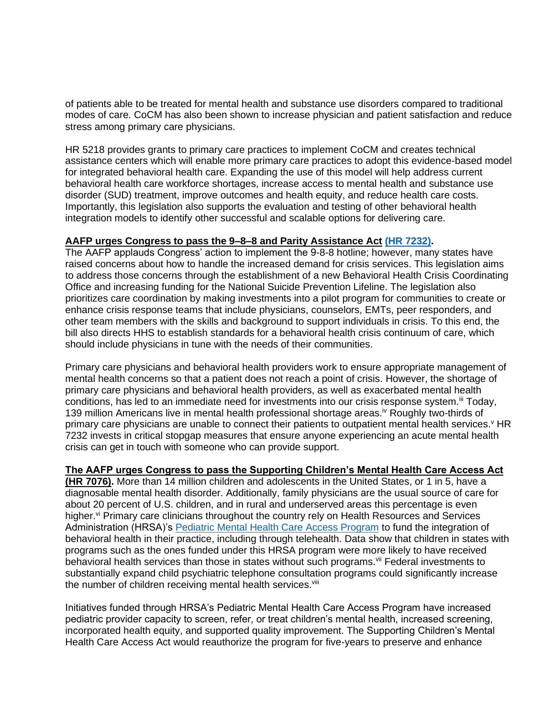of patients able to be treated for mental health and substance use disorders compared to traditional modes of care. CoCM has also been shown to increase physician and patient satisfaction and reduce stress among primary care physicians.

HR 5218 provides grants to primary care practices to implement CoCM and creates technical assistance centers which will enable more primary care practices to adopt this evidence-based model for integrated behavioral health care. Expanding the use of this model will help address current behavioral health care workforce shortages, increase access to mental health and substance use disorder (SUD) treatment, improve outcomes and health equity, and reduce health care costs. Importantly, this legislation also supports the evaluation and testing of other behavioral health integration models to identify other successful and scalable options for delivering care.

# **AAFP urges Congress to pass the 9–8–8 and Parity Assistance Act [\(HR 7232\).](https://www.aafp.org/dam/AAFP/documents/advocacy/prevention/behavioral-health/LT-Congress-988ImplementationAct-031722.pdf)**

The AAFP applauds Congress' action to implement the 9-8-8 hotline; however, many states have raised concerns about how to handle the increased demand for crisis services. This legislation aims to address those concerns through the establishment of a new Behavioral Health Crisis Coordinating Office and increasing funding for the National Suicide Prevention Lifeline. The legislation also prioritizes care coordination by making investments into a pilot program for communities to create or enhance crisis response teams that include physicians, counselors, EMTs, peer responders, and other team members with the skills and background to support individuals in crisis. To this end, the bill also directs HHS to establish standards for a behavioral health crisis continuum of care, which should include physicians in tune with the needs of their communities.

Primary care physicians and behavioral health providers work to ensure appropriate management of mental health concerns so that a patient does not reach a point of crisis. However, the shortage of primary care physicians and behavioral health providers, as well as exacerbated mental health conditions, has led to an immediate need for investments into our crisis response system.<sup>iii</sup> Today, 139 million Americans live in mental health professional shortage areas.<sup>iv</sup> Roughly two-thirds of primary care physicians are unable to connect their patients to outpatient mental health services. HR 7232 invests in critical stopgap measures that ensure anyone experiencing an acute mental health crisis can get in touch with someone who can provide support.

### **The AAFP urges Congress to pass the Supporting Children's Mental Health Care Access Act**

**(HR 7076).** More than 14 million children and adolescents in the United States, or 1 in 5, have a diagnosable mental health disorder. Additionally, family physicians are the usual source of care for about 20 percent of U.S. children, and in rural and underserved areas this percentage is even higher.<sup>vi</sup> Primary care clinicians throughout the country rely on Health Resources and Services Administration (HRSA)'s [Pediatric Mental Health Care Access Program](https://www.aafp.org/dam/AAFP/documents/advocacy/prevention/TS-SenateHELP-MentalHealthSUDHearing-020122.pdf) to fund the integration of behavioral health in their practice, including through telehealth. Data show that children in states with programs such as the ones funded under this HRSA program were more likely to have received behavioral health services than those in states without such programs. Vil Federal investments to substantially expand child psychiatric telephone consultation programs could significantly increase the number of children receiving mental health services.<sup>viii</sup>

Initiatives funded through HRSA's Pediatric Mental Health Care Access Program have increased pediatric provider capacity to screen, refer, or treat children's mental health, increased screening, incorporated health equity, and supported quality improvement. The Supporting Children's Mental Health Care Access Act would reauthorize the program for five-years to preserve and enhance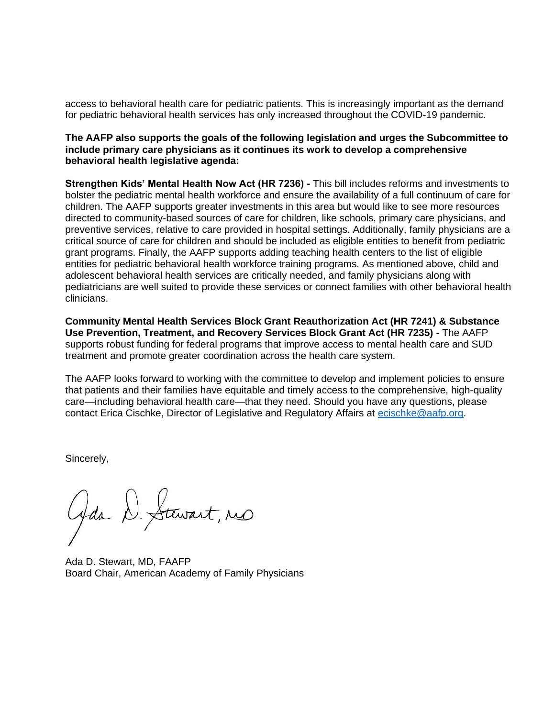access to behavioral health care for pediatric patients. This is increasingly important as the demand for pediatric behavioral health services has only increased throughout the COVID-19 pandemic.

## **The AAFP also supports the goals of the following legislation and urges the Subcommittee to include primary care physicians as it continues its work to develop a comprehensive behavioral health legislative agenda:**

**Strengthen Kids' Mental Health Now Act (HR 7236) -** This bill includes reforms and investments to bolster the pediatric mental health workforce and ensure the availability of a full continuum of care for children. The AAFP supports greater investments in this area but would like to see more resources directed to community-based sources of care for children, like schools, primary care physicians, and preventive services, relative to care provided in hospital settings. Additionally, family physicians are a critical source of care for children and should be included as eligible entities to benefit from pediatric grant programs. Finally, the AAFP supports adding teaching health centers to the list of eligible entities for pediatric behavioral health workforce training programs. As mentioned above, child and adolescent behavioral health services are critically needed, and family physicians along with pediatricians are well suited to provide these services or connect families with other behavioral health clinicians.

**Community Mental Health Services Block Grant Reauthorization Act (HR 7241) & Substance Use Prevention, Treatment, and Recovery Services Block Grant Act (HR 7235) -** The AAFP supports robust funding for federal programs that improve access to mental health care and SUD treatment and promote greater coordination across the health care system.

The AAFP looks forward to working with the committee to develop and implement policies to ensure that patients and their families have equitable and timely access to the comprehensive, high-quality care—including behavioral health care—that they need. Should you have any questions, please contact Erica Cischke, Director of Legislative and Regulatory Affairs at [ecischke@aafp.org.](mailto:ecischke@aafp.org)

Sincerely,

Gda D. Stewart, no

Ada D. Stewart, MD, FAAFP Board Chair, American Academy of Family Physicians